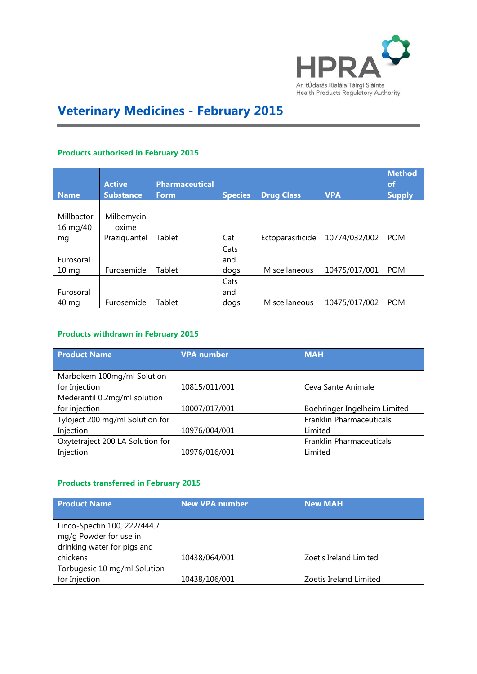

# **Veterinary Medicines - February 2015**

#### **Products authorised in February 2015**

| <b>Name</b>     | <b>Active</b><br><b>Substance</b> | <b>Pharmaceutical</b><br><b>Form</b> | <b>Species</b> | <b>Drug Class</b> | <b>VPA</b>    | <b>Method</b><br>of<br><b>Supply</b> |
|-----------------|-----------------------------------|--------------------------------------|----------------|-------------------|---------------|--------------------------------------|
|                 |                                   |                                      |                |                   |               |                                      |
| Millbactor      | Milbemycin                        |                                      |                |                   |               |                                      |
| 16 mg/40        | oxime                             |                                      |                |                   |               |                                      |
| mg              | Praziquantel                      | Tablet                               | Cat            | Ectoparasiticide  | 10774/032/002 | <b>POM</b>                           |
|                 |                                   |                                      | Cats           |                   |               |                                      |
| Furosoral       |                                   |                                      | and            |                   |               |                                      |
| $10 \text{ mg}$ | Furosemide                        | Tablet                               | dogs           | Miscellaneous     | 10475/017/001 | <b>POM</b>                           |
|                 |                                   |                                      | Cats           |                   |               |                                      |
| Furosoral       |                                   |                                      | and            |                   |               |                                      |
| 40 mg           | Furosemide                        | Tablet                               | dogs           | Miscellaneous     | 10475/017/002 | <b>POM</b>                           |

#### **Products withdrawn in February 2015**

| <b>Product Name</b>              | <b>VPA</b> number | <b>MAH</b>                   |
|----------------------------------|-------------------|------------------------------|
|                                  |                   |                              |
| Marbokem 100mg/ml Solution       |                   |                              |
| for Injection                    | 10815/011/001     | Ceva Sante Animale           |
| Mederantil 0.2mg/ml solution     |                   |                              |
| for injection                    | 10007/017/001     | Boehringer Ingelheim Limited |
| Tyloject 200 mg/ml Solution for  |                   | Franklin Pharmaceuticals     |
| Injection                        | 10976/004/001     | Limited                      |
| Oxytetraject 200 LA Solution for |                   | Franklin Pharmaceuticals     |
| Injection                        | 10976/016/001     | Limited                      |

## **Products transferred in February 2015**

| <b>Product Name</b>          | <b>New VPA number</b> | <b>New MAH</b>         |
|------------------------------|-----------------------|------------------------|
|                              |                       |                        |
| Linco-Spectin 100, 222/444.7 |                       |                        |
| mg/g Powder for use in       |                       |                        |
| drinking water for pigs and  |                       |                        |
| chickens                     | 10438/064/001         | Zoetis Ireland Limited |
| Torbugesic 10 mg/ml Solution |                       |                        |
| for Injection                | 10438/106/001         | Zoetis Ireland Limited |